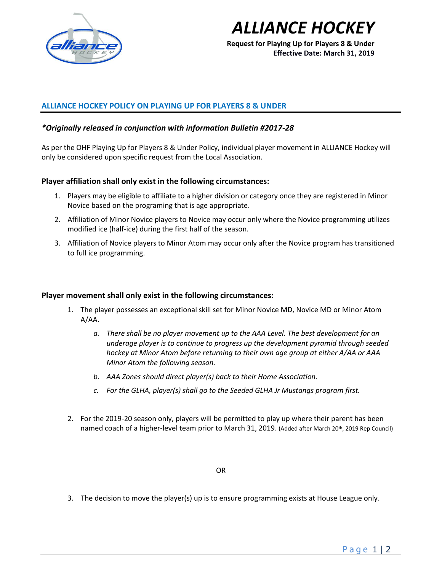

# *ALLIANCE HOCKEY*

**Request for Playing Up for Players 8 & Under Effective Date: March 31, 2019**

# **ALLIANCE HOCKEY POLICY ON PLAYING UP FOR PLAYERS 8 & UNDER**

### *\*Originally released in conjunction with information Bulletin #2017-28*

As per the OHF Playing Up for Players 8 & Under Policy, individual player movement in ALLIANCE Hockey will only be considered upon specific request from the Local Association.

# **Player affiliation shall only exist in the following circumstances:**

- 1. Players may be eligible to affiliate to a higher division or category once they are registered in Minor Novice based on the programing that is age appropriate.
- 2. Affiliation of Minor Novice players to Novice may occur only where the Novice programming utilizes modified ice (half-ice) during the first half of the season.
- 3. Affiliation of Novice players to Minor Atom may occur only after the Novice program has transitioned to full ice programming.

### **Player movement shall only exist in the following circumstances:**

- 1. The player possesses an exceptional skill set for Minor Novice MD, Novice MD or Minor Atom A/AA.
	- *a. There shall be no player movement up to the AAA Level. The best development for an underage player is to continue to progress up the development pyramid through seeded hockey at Minor Atom before returning to their own age group at either A/AA or AAA Minor Atom the following season.*
	- *b. AAA Zones should direct player(s) back to their Home Association.*
	- *c. For the GLHA, player(s) shall go to the Seeded GLHA Jr Mustangs program first.*
- 2. For the 2019-20 season only, players will be permitted to play up where their parent has been named coach of a higher-level team prior to March 31, 2019. (Added after March 20<sup>th</sup>, 2019 Rep Council)

#### OR

3. The decision to move the player(s) up is to ensure programming exists at House League only.